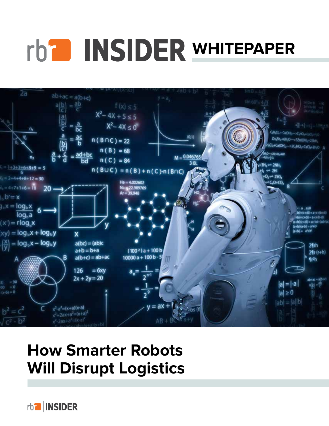# **rb<sup>2</sup>** INSIDER WHITEPAPER



# **How Smarter Robots Will Disrupt Logistics**

rb<sup>a</sup> INSIDER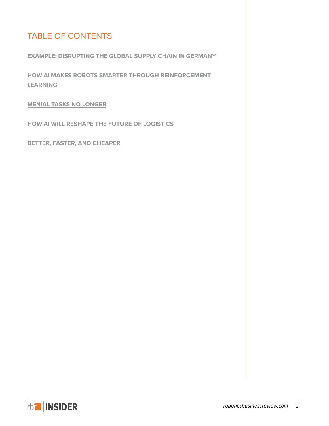# TABLE OF CONTENTS

#### **[EXAMPLE: DISRUPTING THE GLOBAL SUPPLY CHAIN IN GERMANY](#page-2-0)**

**[HOW AI MAKES ROBOTS SMARTER THROUGH REINFORCEMENT](#page-3-0)  [LEARNING](#page-3-0)**

**[MENIAL TASKS NO LONGER](#page-4-0)**

**[HOW AI WILL RESHAPE THE FUTURE OF LOGISTICS](#page-6-0)**

**[BETTER, FASTER, AND CHEAPER](#page-8-0)**

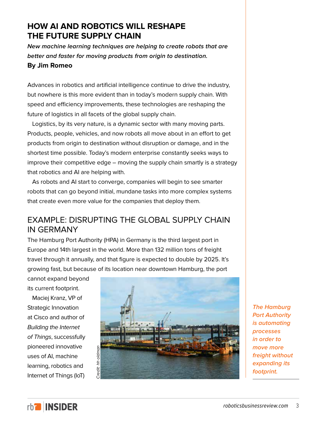# <span id="page-2-0"></span>**HOW AI AND ROBOTICS WILL RESHAPE THE FUTURE SUPPLY CHAIN**

*New machine learning techniques are helping to create robots that are better and faster for moving products from origin to destination.* **By Jim Romeo**

Advances in robotics and artificial intelligence continue to drive the industry, but nowhere is this more evident than in today's modern supply chain. With speed and efficiency improvements, these technologies are reshaping the future of logistics in all facets of the global supply chain.

Logistics, by its very nature, is a dynamic sector with many moving parts. Products, people, vehicles, and now robots all move about in an effort to get products from origin to destination without disruption or damage, and in the shortest time possible. Today's modern enterprise constantly seeks ways to improve their competitive edge – moving the supply chain smartly is a strategy that robotics and AI are helping with.

As robots and AI start to converge, companies will begin to see smarter robots that can go beyond initial, mundane tasks into more complex systems that create even more value for the companies that deploy them.

# EXAMPLE: DISRUPTING THE GLOBAL SUPPLY CHAIN IN GERMANY

The Hamburg Port Authority (HPA) in Germany is the third largest port in Europe and 14th largest in the world. More than 132 million tons of freight travel through it annually, and that figure is expected to double by 2025. It's growing fast, but because of its location near downtown Hamburg, the port

cannot expand beyond its current footprint.

Maciej Kranz, VP of Strategic Innovation at Cisco and author of *Building the Internet of Things*, successfully pioneered innovative uses of AI, machine learning, robotics and Internet of Things (IoT)



*The Hamburg Port Authority is automating processes in order to move more freight without expanding its footprint.*

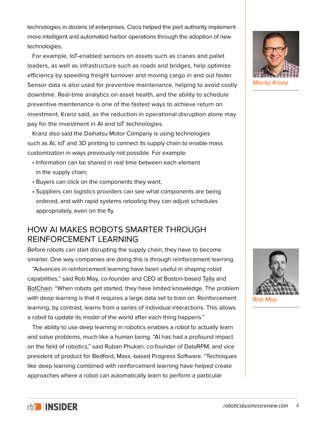<span id="page-3-0"></span>technologies in dozens of enterprises. Cisco helped the port authority implement more intelligent and automated harbor operations through the adoption of new technologies.

For example, IoT-enabled sensors on assets such as cranes and pallet loaders, as well as infrastructure such as roads and bridges, help optimize efficiency by speeding freight turnover and moving cargo in and out faster. Sensor data is also used for preventive maintenance, helping to avoid costly downtime. Real-time analytics on asset health, and the ability to schedule preventive maintenance is one of the fastest ways to achieve return on investment, Kranz said, as the reduction in operational disruption alone may pay for the investment in AI and IoT technologies.

Kranz also said the Daihatsu Motor Company is using technologies such as AI, IoT and 3D printing to connect its supply chain to enable mass customization in ways previously not possible. For example:

- Information can be shared in real time between each element in the supply chain;
- Buyers can click on the components they want;
- Suppliers can logistics providers can see what components are being ordered, and with rapid systems retooling they can adjust schedules appropriately, even on the fly.

# HOW AI MAKES ROBOTS SMARTER THROUGH REINFORCEMENT LEARNING

Before robots can start disrupting the supply chain, they have to become smarter. One way companies are doing this is through reinforcement learning.

"Advances in reinforcement learning have been useful in shaping robot capabilities," said Rob May, co-founder and CEO at Boston-based [Talla](https://talla.com/) and [BotChain.](https://botchain.talla.com/) "When robots get started, they have limited knowledge. The problem with deep learning is that it requires a large data set to train on. Reinforcement learning, by contrast, learns from a series of individual interactions. This allows a robot to update its model of the world after each thing happens."

The ability to use deep learning in robotics enables a robot to actually learn and solve problems, much like a human being. "AI has had a profound impact on the field of robotics," said Ruban Phukan, co-founder of DataRPM, and vice president of product for Bedford, Mass.-based Progress Software. "Techniques like deep learning combined with reinforcement learning have helped create approaches where a robot can automatically learn to perform a particular





*Rob May*

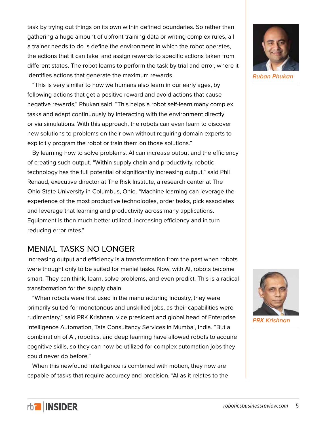<span id="page-4-0"></span>task by trying out things on its own within defined boundaries. So rather than gathering a huge amount of upfront training data or writing complex rules, all a trainer needs to do is define the environment in which the robot operates, the actions that it can take, and assign rewards to specific actions taken from different states. The robot learns to perform the task by trial and error, where it identifies actions that generate the maximum rewards.

"This is very similar to how we humans also learn in our early ages, by following actions that get a positive reward and avoid actions that cause negative rewards," Phukan said. "This helps a robot self-learn many complex tasks and adapt continuously by interacting with the environment directly or via simulations. With this approach, the robots can even learn to discover new solutions to problems on their own without requiring domain experts to explicitly program the robot or train them on those solutions."

By learning how to solve problems, AI can increase output and the efficiency of creating such output. "Within supply chain and productivity, robotic technology has the full potential of significantly increasing output," said Phil Renaud, executive director at The Risk Institute, a research center at The Ohio State University in Columbus, Ohio. "Machine learning can leverage the experience of the most productive technologies, order tasks, pick associates and leverage that learning and productivity across many applications. Equipment is then much better utilized, increasing efficiency and in turn reducing error rates."

# MENIAL TASKS NO LONGER

Increasing output and efficiency is a transformation from the past when robots were thought only to be suited for menial tasks. Now, with AI, robots become smart. They can think, learn, solve problems, and even predict. This is a radical transformation for the supply chain.

"When robots were first used in the manufacturing industry, they were primarily suited for monotonous and unskilled jobs, as their capabilities were rudimentary," said PRK Krishnan, vice president and global head of Enterprise Intelligence Automation, Tata Consultancy Services in Mumbai, India. "But a combination of AI, robotics, and deep learning have allowed robots to acquire cognitive skills, so they can now be utilized for complex automation jobs they could never do before."

When this newfound intelligence is combined with motion, they now are capable of tasks that require accuracy and precision. "AI as it relates to the



*Ruban Phukan*



*PRK Krishnan*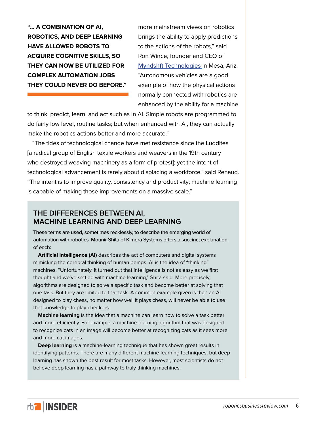**"… A COMBINATION OF AI, ROBOTICS, AND DEEP LEARNING HAVE ALLOWED ROBOTS TO ACQUIRE COGNITIVE SKILLS, SO THEY CAN NOW BE UTILIZED FOR COMPLEX AUTOMATION JOBS THEY COULD NEVER DO BEFORE."**

more mainstream views on robotics brings the ability to apply predictions to the actions of the robots," said Ron Wince, founder and CEO of [Myndshft Technologies](https://www.myndshft.com/) in Mesa, Ariz. "Autonomous vehicles are a good example of how the physical actions normally connected with robotics are enhanced by the ability for a machine

to think, predict, learn, and act such as in AI. Simple robots are programmed to do fairly low level, routine tasks; but when enhanced with AI, they can actually make the robotics actions better and more accurate."

"The tides of technological change have met resistance since the Luddites [a radical group of English textile workers and weavers in the 19th century who destroyed weaving machinery as a form of protest]; yet the intent of technological advancement is rarely about displacing a workforce," said Renaud. "The intent is to improve quality, consistency and productivity; machine learning is capable of making those improvements on a massive scale."

## **THE DIFFERENCES BETWEEN AI, MACHINE LEARNING AND DEEP LEARNING**

These terms are used, sometimes recklessly, to describe the emerging world of automation with robotics. Mounir Shita of Kimera Systems offers a succinct explanation of each:

**Artificial Intelligence (AI)** describes the act of computers and digital systems mimicking the cerebral thinking of human beings. AI is the idea of "thinking" machines. "Unfortunately, it turned out that intelligence is not as easy as we first thought and we've settled with machine learning," Shita said. More precisely, algorithms are designed to solve a specific task and become better at solving that one task. But they are limited to that task. A common example given is than an AI designed to play chess, no matter how well it plays chess, will never be able to use that knowledge to play checkers.

**Machine learning** is the idea that a machine can learn how to solve a task better and more efficiently. For example, a machine-learning algorithm that was designed to recognize cats in an image will become better at recognizing cats as it sees more and more cat images.

**Deep learning** is a machine-learning technique that has shown great results in identifying patterns. There are many different machine-learning techniques, but deep learning has shown the best result for most tasks. However, most scientists do not believe deep learning has a pathway to truly thinking machines.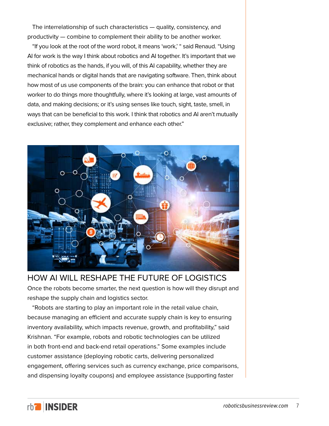<span id="page-6-0"></span>The interrelationship of such characteristics — quality, consistency, and productivity — combine to complement their ability to be another worker.

"If you look at the root of the word robot, it means 'work,' " said Renaud. "Using AI for work is the way I think about robotics and AI together. It's important that we think of robotics as the hands, if you will, of this AI capability, whether they are mechanical hands or digital hands that are navigating software. Then, think about how most of us use components of the brain: you can enhance that robot or that worker to do things more thoughtfully, where it's looking at large, vast amounts of data, and making decisions; or it's using senses like touch, sight, taste, smell, in ways that can be beneficial to this work. I think that robotics and AI aren't mutually exclusive; rather, they complement and enhance each other."



HOW AI WILL RESHAPE THE FUTURE OF LOGISTICS

Once the robots become smarter, the next question is how will they disrupt and reshape the supply chain and logistics sector.

"Robots are starting to play an important role in the retail value chain, because managing an efficient and accurate supply chain is key to ensuring inventory availability, which impacts revenue, growth, and profitability," said Krishnan. "For example, robots and robotic technologies can be utilized in both front-end and back-end retail operations." Some examples include customer assistance (deploying robotic carts, delivering personalized engagement, offering services such as currency exchange, price comparisons, and dispensing loyalty coupons) and employee assistance (supporting faster

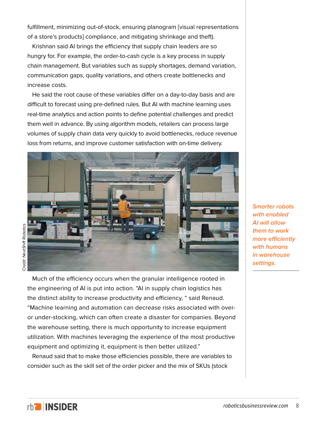fulfillment, minimizing out-of-stock, ensuring planogram [visual representations of a store's products] compliance, and mitigating shrinkage and theft).

Krishnan said AI brings the efficiency that supply chain leaders are so hungry for. For example, the order-to-cash cycle is a key process in supply chain management. But variables such as supply shortages, demand variation, communication gaps, quality variations, and others create bottlenecks and increase costs.

He said the root cause of these variables differ on a day-to-day basis and are difficult to forecast using pre-defined rules. But AI with machine learning uses real-time analytics and action points to define potential challenges and predict them well in advance. By using algorithm models, retailers can process large volumes of supply chain data very quickly to avoid bottlenecks, reduce revenue loss from returns, and improve customer satisfaction with on-time delivery.



Much of the efficiency occurs when the granular intelligence rooted in the engineering of AI is put into action. "AI in supply chain logistics has the distinct ability to increase productivity and efficiency, " said Renaud. "Machine learning and automation can decrease risks associated with overor under-stocking, which can often create a disaster for companies. Beyond the warehouse setting, there is much opportunity to increase equipment utilization. With machines leveraging the experience of the most productive equipment and optimizing it, equipment is then better utilized."

Renaud said that to make those efficiencies possible, there are variables to consider such as the skill set of the order picker and the mix of SKUs (stock

*Smarter robots with enabled AI will allow them to work more efficiently with humans in warehouse settings.*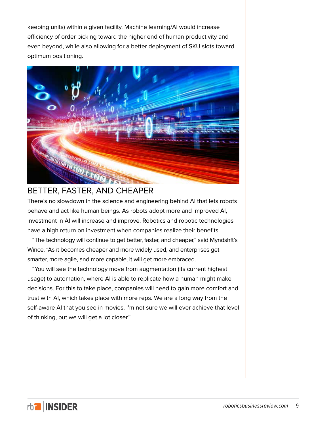<span id="page-8-0"></span>keeping units) within a given facility. Machine learning/AI would increase efficiency of order picking toward the higher end of human productivity and even beyond, while also allowing for a better deployment of SKU slots toward optimum positioning.



# BETTER, FASTER, AND CHEAPER

There's no slowdown in the science and engineering behind AI that lets robots behave and act like human beings. As robots adopt more and improved AI, investment in AI will increase and improve. Robotics and robotic technologies have a high return on investment when companies realize their benefits.

"The technology will continue to get better, faster, and cheaper," said Myndshft's Wince. "As it becomes cheaper and more widely used, and enterprises get smarter, more agile, and more capable, it will get more embraced.

"You will see the technology move from augmentation (its current highest usage) to automation, where AI is able to replicate how a human might make decisions. For this to take place, companies will need to gain more comfort and trust with AI, which takes place with more reps. We are a long way from the self-aware AI that you see in movies. I'm not sure we will ever achieve that level of thinking, but we will get a lot closer."